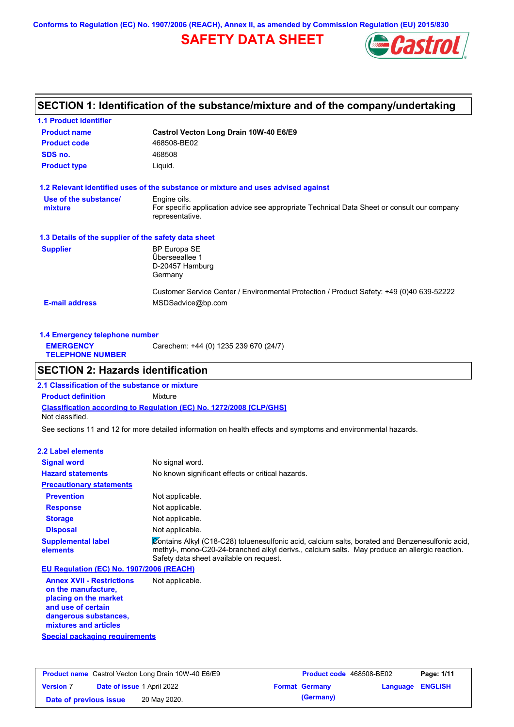**Conforms to Regulation (EC) No. 1907/2006 (REACH), Annex II, as amended by Commission Regulation (EU) 2015/830**

# **SAFETY DATA SHEET**



# **SECTION 1: Identification of the substance/mixture and of the company/undertaking**

| <b>1.1 Product identifier</b>                        |                                                                                                                |
|------------------------------------------------------|----------------------------------------------------------------------------------------------------------------|
| <b>Product name</b>                                  | Castrol Vecton Long Drain 10W-40 E6/E9                                                                         |
| <b>Product code</b>                                  | 468508-BE02                                                                                                    |
| SDS no.                                              | 468508                                                                                                         |
| <b>Product type</b>                                  | Liquid.                                                                                                        |
|                                                      | 1.2 Relevant identified uses of the substance or mixture and uses advised against                              |
| Use of the substance/                                | Engine oils.                                                                                                   |
| mixture                                              | For specific application advice see appropriate Technical Data Sheet or consult our company<br>representative. |
| 1.3 Details of the supplier of the safety data sheet |                                                                                                                |
| <b>Supplier</b>                                      | <b>BP Europa SE</b>                                                                                            |
|                                                      | Überseeallee 1                                                                                                 |
|                                                      | D-20457 Hamburg                                                                                                |
|                                                      | Germany                                                                                                        |
|                                                      | Customer Service Center / Environmental Protection / Product Safety: +49 (0)40 639-52222                       |
| <b>E-mail address</b>                                | MSDSadvice@bp.com                                                                                              |
|                                                      |                                                                                                                |

|                                             | 1.4 Emergency telephone number        |  |  |  |  |
|---------------------------------------------|---------------------------------------|--|--|--|--|
| <b>EMERGENCY</b><br><b>TELEPHONE NUMBER</b> | Carechem: +44 (0) 1235 239 670 (24/7) |  |  |  |  |
|                                             |                                       |  |  |  |  |

# **SECTION 2: Hazards identification**

**Classification according to Regulation (EC) No. 1272/2008 [CLP/GHS] 2.1 Classification of the substance or mixture Product definition** Mixture Not classified.

See sections 11 and 12 for more detailed information on health effects and symptoms and environmental hazards.

#### **2.2 Label elements**

| <b>Signal word</b>                       | No signal word.                                                                                                                                                                                                                             |
|------------------------------------------|---------------------------------------------------------------------------------------------------------------------------------------------------------------------------------------------------------------------------------------------|
| <b>Hazard statements</b>                 | No known significant effects or critical hazards.                                                                                                                                                                                           |
| <b>Precautionary statements</b>          |                                                                                                                                                                                                                                             |
| <b>Prevention</b>                        | Not applicable.                                                                                                                                                                                                                             |
| <b>Response</b>                          | Not applicable.                                                                                                                                                                                                                             |
| <b>Storage</b>                           | Not applicable.                                                                                                                                                                                                                             |
| <b>Disposal</b>                          | Not applicable.                                                                                                                                                                                                                             |
| <b>Supplemental label</b><br>elements    | Contains Alkyl (C18-C28) toluenesulfonic acid, calcium salts, borated and Benzenesulfonic acid,<br>methyl-, mono-C20-24-branched alkyl derivs., calcium salts. May produce an allergic reaction.<br>Safety data sheet available on request. |
| EU Regulation (EC) No. 1907/2006 (REACH) |                                                                                                                                                                                                                                             |
| Amper VVIII Dentriations                 | Alat annliaahla                                                                                                                                                                                                                             |

**Annex XVII - Restrictions on the manufacture, placing on the market and use of certain dangerous substances, mixtures and articles** Not applicable.

**Special packaging requirements**

| <b>Product name</b> Castrol Vecton Long Drain 10W-40 E6/E9 |                                   | <b>Product code</b> 468508-BE02 |  | Page: 1/11            |                         |  |
|------------------------------------------------------------|-----------------------------------|---------------------------------|--|-----------------------|-------------------------|--|
| <b>Version 7</b>                                           | <b>Date of issue 1 April 2022</b> |                                 |  | <b>Format Germany</b> | <b>Language ENGLISH</b> |  |
| Date of previous issue                                     |                                   | 20 May 2020.                    |  | (Germany)             |                         |  |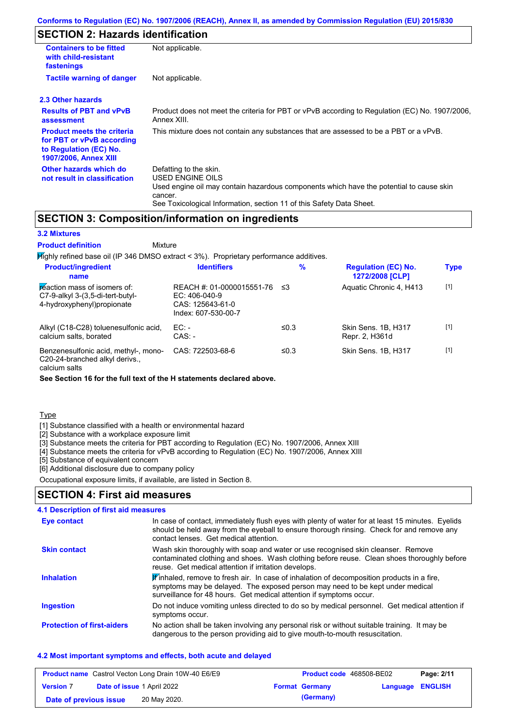# **SECTION 2: Hazards identification**

| <b>Containers to be fitted</b><br>with child-resistant<br>fastenings                                                     | Not applicable.                                                                                                                                                                                                                 |
|--------------------------------------------------------------------------------------------------------------------------|---------------------------------------------------------------------------------------------------------------------------------------------------------------------------------------------------------------------------------|
| <b>Tactile warning of danger</b>                                                                                         | Not applicable.                                                                                                                                                                                                                 |
| 2.3 Other hazards                                                                                                        |                                                                                                                                                                                                                                 |
| <b>Results of PBT and vPvB</b><br>assessment                                                                             | Product does not meet the criteria for PBT or vPvB according to Regulation (EC) No. 1907/2006,<br>Annex XIII.                                                                                                                   |
| <b>Product meets the criteria</b><br>for PBT or vPvB according<br>to Regulation (EC) No.<br><b>1907/2006, Annex XIII</b> | This mixture does not contain any substances that are assessed to be a PBT or a vPvB.                                                                                                                                           |
| Other hazards which do<br>not result in classification                                                                   | Defatting to the skin.<br><b>USED ENGINE OILS</b><br>Used engine oil may contain hazardous components which have the potential to cause skin<br>cancer.<br>See Toxicological Information, section 11 of this Safety Data Sheet. |

### **SECTION 3: Composition/information on ingredients**

**Mixture** 

#### **3.2 Mixtures**

**Product definition**

Highly refined base oil (IP 346 DMSO extract < 3%). Proprietary performance additives. **Product/ingredient % Regulation (EC) No. Identifiers Type**

| name                                                                                              |                                                                                                  |      | 1272/2008 [CLP]                       |       |
|---------------------------------------------------------------------------------------------------|--------------------------------------------------------------------------------------------------|------|---------------------------------------|-------|
| reaction mass of isomers of:<br>$C7-9-alkyl$ 3-(3,5-di-tert-butyl-<br>4-hydroxyphenyl) propionate | REACH #: 01-0000015551-76 $\leq$ 3<br>$EC: 406-040-9$<br>CAS: 125643-61-0<br>Index: 607-530-00-7 |      | Aquatic Chronic 4, H413               | $[1]$ |
| Alkyl (C18-C28) toluenesulfonic acid,<br>calcium salts, borated                                   | $EC:$ -<br>$CAS: -$                                                                              | ≤0.3 | Skin Sens. 1B, H317<br>Repr. 2, H361d | $[1]$ |
| Benzenesulfonic acid, methyl-, mono-<br>C20-24-branched alkyl derivs.,                            | CAS: 722503-68-6                                                                                 | ≤0.3 | Skin Sens, 1B, H317                   | $[1]$ |

calcium salts

**See Section 16 for the full text of the H statements declared above.**

**Type** 

[1] Substance classified with a health or environmental hazard

[2] Substance with a workplace exposure limit

[3] Substance meets the criteria for PBT according to Regulation (EC) No. 1907/2006, Annex XIII

[4] Substance meets the criteria for vPvB according to Regulation (EC) No. 1907/2006, Annex XIII

[5] Substance of equivalent concern

[6] Additional disclosure due to company policy

Occupational exposure limits, if available, are listed in Section 8.

#### **SECTION 4: First aid measures**

| 4.1 Description of first aid measures |                                                                                                                                                                                                                                                              |
|---------------------------------------|--------------------------------------------------------------------------------------------------------------------------------------------------------------------------------------------------------------------------------------------------------------|
| Eye contact                           | In case of contact, immediately flush eyes with plenty of water for at least 15 minutes. Eyelids<br>should be held away from the eyeball to ensure thorough rinsing. Check for and remove any<br>contact lenses. Get medical attention.                      |
| <b>Skin contact</b>                   | Wash skin thoroughly with soap and water or use recognised skin cleanser. Remove<br>contaminated clothing and shoes. Wash clothing before reuse. Clean shoes thoroughly before<br>reuse. Get medical attention if irritation develops.                       |
| <b>Inhalation</b>                     | $\mathbf F$ inhaled, remove to fresh air. In case of inhalation of decomposition products in a fire,<br>symptoms may be delayed. The exposed person may need to be kept under medical<br>surveillance for 48 hours. Get medical attention if symptoms occur. |
| <b>Ingestion</b>                      | Do not induce vomiting unless directed to do so by medical personnel. Get medical attention if<br>symptoms occur.                                                                                                                                            |
| <b>Protection of first-aiders</b>     | No action shall be taken involving any personal risk or without suitable training. It may be<br>dangerous to the person providing aid to give mouth-to-mouth resuscitation.                                                                                  |

#### **4.2 Most important symptoms and effects, both acute and delayed**

| <b>Product name</b> Castrol Vecton Long Drain 10W-40 E6/E9 |  | <b>Product code</b> 468508-BE02   |  | Page: 2/11            |                         |  |
|------------------------------------------------------------|--|-----------------------------------|--|-----------------------|-------------------------|--|
| <b>Version 7</b>                                           |  | <b>Date of issue 1 April 2022</b> |  | <b>Format Germany</b> | <b>Language ENGLISH</b> |  |
| Date of previous issue                                     |  | 20 May 2020.                      |  | (Germany)             |                         |  |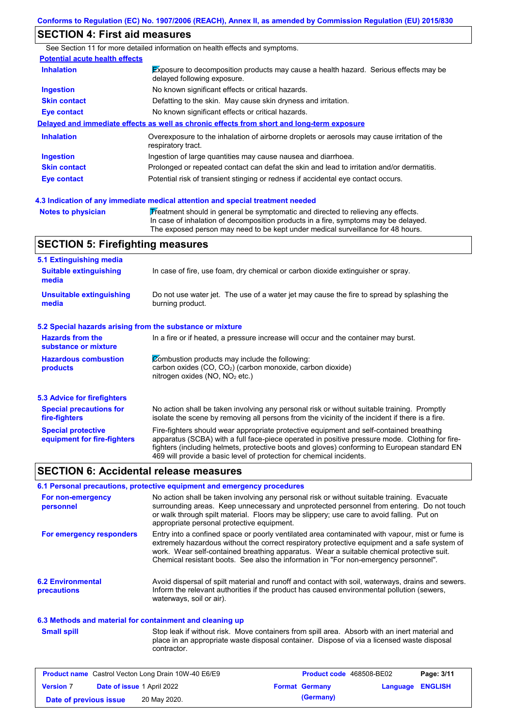# **SECTION 4: First aid measures**

|                                       | See Section 11 for more detailed information on health effects and symptoms.                                               |
|---------------------------------------|----------------------------------------------------------------------------------------------------------------------------|
| <b>Potential acute health effects</b> |                                                                                                                            |
| <b>Inhalation</b>                     | <b>Exposure to decomposition products may cause a health hazard.</b> Serious effects may be<br>delayed following exposure. |
| <b>Ingestion</b>                      | No known significant effects or critical hazards.                                                                          |
| <b>Skin contact</b>                   | Defatting to the skin. May cause skin dryness and irritation.                                                              |
| Eye contact                           | No known significant effects or critical hazards.                                                                          |
|                                       | Delayed and immediate effects as well as chronic effects from short and long-term exposure                                 |
| <b>Inhalation</b>                     | Overexposure to the inhalation of airborne droplets or aerosols may cause irritation of the<br>respiratory tract.          |
| <b>Ingestion</b>                      | Ingestion of large quantities may cause nausea and diarrhoea.                                                              |
| <b>Skin contact</b>                   | Prolonged or repeated contact can defat the skin and lead to irritation and/or dermatitis.                                 |
| Eye contact                           | Potential risk of transient stinging or redness if accidental eye contact occurs.                                          |
|                                       |                                                                                                                            |

**4.3 Indication of any immediate medical attention and special treatment needed**

Notes to physician **Treatment should in general be symptomatic and directed to relieving any effects.** In case of inhalation of decomposition products in a fire, symptoms may be delayed. The exposed person may need to be kept under medical surveillance for 48 hours.

# **SECTION 5: Firefighting measures**

| 5.1 Extinguishing media                                   |                                                                                                                                                                                                                                                                                                                                                                   |
|-----------------------------------------------------------|-------------------------------------------------------------------------------------------------------------------------------------------------------------------------------------------------------------------------------------------------------------------------------------------------------------------------------------------------------------------|
| <b>Suitable extinguishing</b><br>media                    | In case of fire, use foam, dry chemical or carbon dioxide extinguisher or spray.                                                                                                                                                                                                                                                                                  |
| <b>Unsuitable extinguishing</b><br>media                  | Do not use water jet. The use of a water jet may cause the fire to spread by splashing the<br>burning product.                                                                                                                                                                                                                                                    |
| 5.2 Special hazards arising from the substance or mixture |                                                                                                                                                                                                                                                                                                                                                                   |
| <b>Hazards from the</b><br>substance or mixture           | In a fire or if heated, a pressure increase will occur and the container may burst.                                                                                                                                                                                                                                                                               |
| <b>Hazardous combustion</b><br>products                   | Combustion products may include the following:<br>carbon oxides (CO, CO <sub>2</sub> ) (carbon monoxide, carbon dioxide)<br>nitrogen oxides (NO, NO <sub>2</sub> etc.)                                                                                                                                                                                            |
| 5.3 Advice for firefighters                               |                                                                                                                                                                                                                                                                                                                                                                   |
| <b>Special precautions for</b><br>fire-fighters           | No action shall be taken involving any personal risk or without suitable training. Promptly<br>isolate the scene by removing all persons from the vicinity of the incident if there is a fire.                                                                                                                                                                    |
| <b>Special protective</b><br>equipment for fire-fighters  | Fire-fighters should wear appropriate protective equipment and self-contained breathing<br>apparatus (SCBA) with a full face-piece operated in positive pressure mode. Clothing for fire-<br>fighters (including helmets, protective boots and gloves) conforming to European standard EN<br>469 will provide a basic level of protection for chemical incidents. |

#### **SECTION 6: Accidental release measures**

#### **6.1 Personal precautions, protective equipment and emergency procedures**

| For non-emergency<br>personnel          | No action shall be taken involving any personal risk or without suitable training. Evacuate<br>surrounding areas. Keep unnecessary and unprotected personnel from entering. Do not touch<br>or walk through spilt material. Floors may be slippery; use care to avoid falling. Put on<br>appropriate personal protective equipment.                                                  |
|-----------------------------------------|--------------------------------------------------------------------------------------------------------------------------------------------------------------------------------------------------------------------------------------------------------------------------------------------------------------------------------------------------------------------------------------|
| For emergency responders                | Entry into a confined space or poorly ventilated area contaminated with vapour, mist or fume is<br>extremely hazardous without the correct respiratory protective equipment and a safe system of<br>work. Wear self-contained breathing apparatus. Wear a suitable chemical protective suit.<br>Chemical resistant boots. See also the information in "For non-emergency personnel". |
| <b>6.2 Environmental</b><br>precautions | Avoid dispersal of spilt material and runoff and contact with soil, waterways, drains and sewers.<br>Inform the relevant authorities if the product has caused environmental pollution (sewers,<br>waterways, soil or air).                                                                                                                                                          |

#### **6.3 Methods and material for containment and cleaning up**

**Small spill**

Stop leak if without risk. Move containers from spill area. Absorb with an inert material and place in an appropriate waste disposal container. Dispose of via a licensed waste disposal contractor.

| <b>Product name</b> Castrol Vecton Long Drain 10W-40 E6/E9 |                                   | <b>Product code</b> 468508-BE02 |  | Page: 3/11            |                  |  |
|------------------------------------------------------------|-----------------------------------|---------------------------------|--|-----------------------|------------------|--|
| <b>Version 7</b>                                           | <b>Date of issue 1 April 2022</b> |                                 |  | <b>Format Germany</b> | Language ENGLISH |  |
| Date of previous issue                                     |                                   | 20 May 2020.                    |  | (Germany)             |                  |  |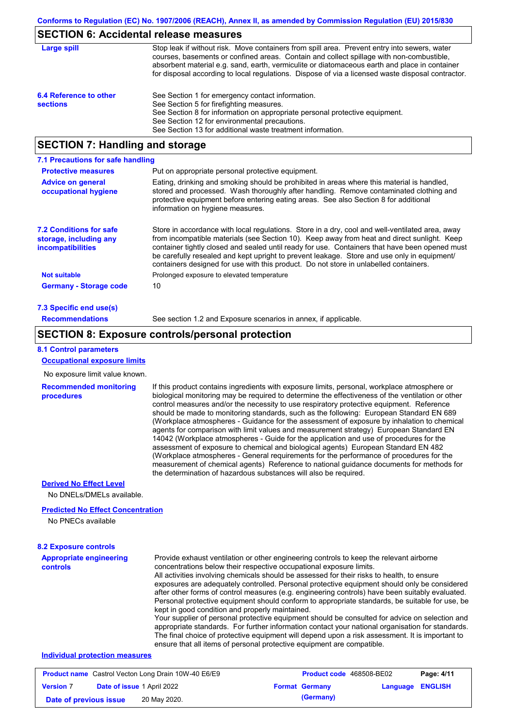#### **SECTION 6: Accidental release measures**

| Large spill                               | Stop leak if without risk. Move containers from spill area. Prevent entry into sewers, water<br>courses, basements or confined areas. Contain and collect spillage with non-combustible,<br>absorbent material e.g. sand, earth, vermiculite or diatomaceous earth and place in container<br>for disposal according to local regulations. Dispose of via a licensed waste disposal contractor. |
|-------------------------------------------|------------------------------------------------------------------------------------------------------------------------------------------------------------------------------------------------------------------------------------------------------------------------------------------------------------------------------------------------------------------------------------------------|
| 6.4 Reference to other<br><b>sections</b> | See Section 1 for emergency contact information.<br>See Section 5 for firefighting measures.<br>See Section 8 for information on appropriate personal protective equipment.<br>See Section 12 for environmental precautions.<br>See Section 13 for additional waste treatment information.                                                                                                     |

# **SECTION 7: Handling and storage**

| 7.1 Precautions for safe handling                                                    |                                                                                                                                                                                                                                                                                                                                                                                                                                                                                          |  |  |  |  |
|--------------------------------------------------------------------------------------|------------------------------------------------------------------------------------------------------------------------------------------------------------------------------------------------------------------------------------------------------------------------------------------------------------------------------------------------------------------------------------------------------------------------------------------------------------------------------------------|--|--|--|--|
| <b>Protective measures</b>                                                           | Put on appropriate personal protective equipment.                                                                                                                                                                                                                                                                                                                                                                                                                                        |  |  |  |  |
| <b>Advice on general</b><br>occupational hygiene                                     | Eating, drinking and smoking should be prohibited in areas where this material is handled,<br>stored and processed. Wash thoroughly after handling. Remove contaminated clothing and<br>protective equipment before entering eating areas. See also Section 8 for additional<br>information on hygiene measures.                                                                                                                                                                         |  |  |  |  |
| <b>7.2 Conditions for safe</b><br>storage, including any<br><i>incompatibilities</i> | Store in accordance with local requiations. Store in a dry, cool and well-ventilated area, away<br>from incompatible materials (see Section 10). Keep away from heat and direct sunlight. Keep<br>container tightly closed and sealed until ready for use. Containers that have been opened must<br>be carefully resealed and kept upright to prevent leakage. Store and use only in equipment/<br>containers designed for use with this product. Do not store in unlabelled containers. |  |  |  |  |
| <b>Not suitable</b>                                                                  | Prolonged exposure to elevated temperature                                                                                                                                                                                                                                                                                                                                                                                                                                               |  |  |  |  |
| <b>Germany - Storage code</b>                                                        | 10                                                                                                                                                                                                                                                                                                                                                                                                                                                                                       |  |  |  |  |
| 7.3 Specific end use(s)                                                              |                                                                                                                                                                                                                                                                                                                                                                                                                                                                                          |  |  |  |  |
| <b>Recommendations</b>                                                               | See section 1.2 and Exposure scenarios in annex, if applicable.                                                                                                                                                                                                                                                                                                                                                                                                                          |  |  |  |  |

#### **SECTION 8: Exposure controls/personal protection**

#### **8.1 Control parameters**

**Occupational exposure limits**

No exposure limit value known.

#### **Recommended monitoring procedures**

If this product contains ingredients with exposure limits, personal, workplace atmosphere or biological monitoring may be required to determine the effectiveness of the ventilation or other control measures and/or the necessity to use respiratory protective equipment. Reference should be made to monitoring standards, such as the following: European Standard EN 689 (Workplace atmospheres - Guidance for the assessment of exposure by inhalation to chemical agents for comparison with limit values and measurement strategy) European Standard EN 14042 (Workplace atmospheres - Guide for the application and use of procedures for the assessment of exposure to chemical and biological agents) European Standard EN 482 (Workplace atmospheres - General requirements for the performance of procedures for the measurement of chemical agents) Reference to national guidance documents for methods for the determination of hazardous substances will also be required.

#### **Derived No Effect Level**

No DNELs/DMELs available.

#### **Predicted No Effect Concentration**

No PNECs available

#### **Appropriate engineering controls** Provide exhaust ventilation or other engineering controls to keep the relevant airborne concentrations below their respective occupational exposure limits. All activities involving chemicals should be assessed for their risks to health, to ensure exposures are adequately controlled. Personal protective equipment should only be considered after other forms of control measures (e.g. engineering controls) have been suitably evaluated. Personal protective equipment should conform to appropriate standards, be suitable for use, be kept in good condition and properly maintained. Your supplier of personal protective equipment should be consulted for advice on selection and appropriate standards. For further information contact your national organisation for standards. The final choice of protective equipment will depend upon a risk assessment. It is important to ensure that all items of personal protective equipment are compatible. **8.2 Exposure controls Individual protection measures**

#### **Product name** Castrol Vecton Long Drain 10W-40 E6/E9 **Product code** 468508-BE02 **Page: 4/11 Version** 7 **Date of issue** 1 April 2022 **Format Germany Language ENGLISH Date of previous issue** 20 May 2020.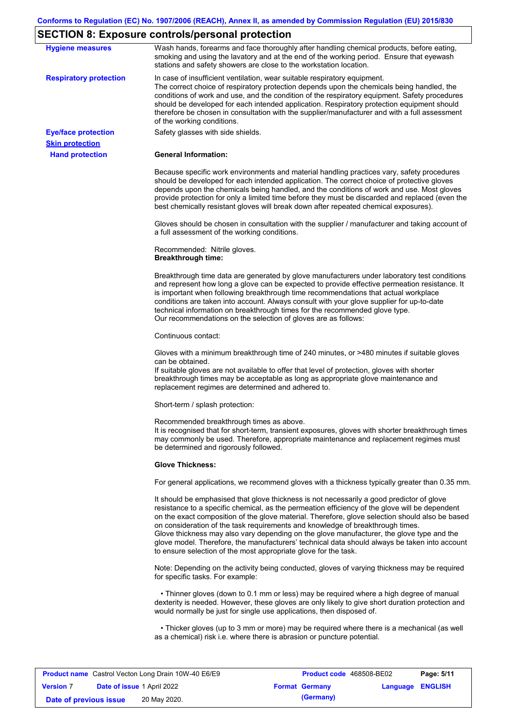# **SECTION 8: Exposure controls/personal protection**

|                                                      | $\overline{D}$ . On the control of $\overline{D}$ . Exposure controls personal protection                                                                                                                                                                                                                                                                                                                                                                                                                                                                                                                                                         |
|------------------------------------------------------|---------------------------------------------------------------------------------------------------------------------------------------------------------------------------------------------------------------------------------------------------------------------------------------------------------------------------------------------------------------------------------------------------------------------------------------------------------------------------------------------------------------------------------------------------------------------------------------------------------------------------------------------------|
| <b>Hygiene measures</b>                              | Wash hands, forearms and face thoroughly after handling chemical products, before eating,<br>smoking and using the lavatory and at the end of the working period. Ensure that eyewash<br>stations and safety showers are close to the workstation location.                                                                                                                                                                                                                                                                                                                                                                                       |
| <b>Respiratory protection</b>                        | In case of insufficient ventilation, wear suitable respiratory equipment.<br>The correct choice of respiratory protection depends upon the chemicals being handled, the<br>conditions of work and use, and the condition of the respiratory equipment. Safety procedures<br>should be developed for each intended application. Respiratory protection equipment should<br>therefore be chosen in consultation with the supplier/manufacturer and with a full assessment<br>of the working conditions.                                                                                                                                             |
| <b>Eye/face protection</b><br><b>Skin protection</b> | Safety glasses with side shields.                                                                                                                                                                                                                                                                                                                                                                                                                                                                                                                                                                                                                 |
| <b>Hand protection</b>                               | <b>General Information:</b>                                                                                                                                                                                                                                                                                                                                                                                                                                                                                                                                                                                                                       |
|                                                      | Because specific work environments and material handling practices vary, safety procedures<br>should be developed for each intended application. The correct choice of protective gloves<br>depends upon the chemicals being handled, and the conditions of work and use. Most gloves<br>provide protection for only a limited time before they must be discarded and replaced (even the<br>best chemically resistant gloves will break down after repeated chemical exposures).                                                                                                                                                                  |
|                                                      | Gloves should be chosen in consultation with the supplier / manufacturer and taking account of<br>a full assessment of the working conditions.                                                                                                                                                                                                                                                                                                                                                                                                                                                                                                    |
|                                                      | Recommended: Nitrile gloves.<br><b>Breakthrough time:</b>                                                                                                                                                                                                                                                                                                                                                                                                                                                                                                                                                                                         |
|                                                      | Breakthrough time data are generated by glove manufacturers under laboratory test conditions<br>and represent how long a glove can be expected to provide effective permeation resistance. It<br>is important when following breakthrough time recommendations that actual workplace<br>conditions are taken into account. Always consult with your glove supplier for up-to-date<br>technical information on breakthrough times for the recommended glove type.<br>Our recommendations on the selection of gloves are as follows:                                                                                                                |
|                                                      | Continuous contact:                                                                                                                                                                                                                                                                                                                                                                                                                                                                                                                                                                                                                               |
|                                                      | Gloves with a minimum breakthrough time of 240 minutes, or >480 minutes if suitable gloves<br>can be obtained.<br>If suitable gloves are not available to offer that level of protection, gloves with shorter<br>breakthrough times may be acceptable as long as appropriate glove maintenance and<br>replacement regimes are determined and adhered to.                                                                                                                                                                                                                                                                                          |
|                                                      | Short-term / splash protection:                                                                                                                                                                                                                                                                                                                                                                                                                                                                                                                                                                                                                   |
|                                                      | Recommended breakthrough times as above.<br>It is recognised that for short-term, transient exposures, gloves with shorter breakthrough times<br>may commonly be used. Therefore, appropriate maintenance and replacement regimes must<br>be determined and rigorously followed.                                                                                                                                                                                                                                                                                                                                                                  |
|                                                      | <b>Glove Thickness:</b>                                                                                                                                                                                                                                                                                                                                                                                                                                                                                                                                                                                                                           |
|                                                      | For general applications, we recommend gloves with a thickness typically greater than 0.35 mm.                                                                                                                                                                                                                                                                                                                                                                                                                                                                                                                                                    |
|                                                      | It should be emphasised that glove thickness is not necessarily a good predictor of glove<br>resistance to a specific chemical, as the permeation efficiency of the glove will be dependent<br>on the exact composition of the glove material. Therefore, glove selection should also be based<br>on consideration of the task requirements and knowledge of breakthrough times.<br>Glove thickness may also vary depending on the glove manufacturer, the glove type and the<br>glove model. Therefore, the manufacturers' technical data should always be taken into account<br>to ensure selection of the most appropriate glove for the task. |
|                                                      | Note: Depending on the activity being conducted, gloves of varying thickness may be required<br>for specific tasks. For example:                                                                                                                                                                                                                                                                                                                                                                                                                                                                                                                  |
|                                                      | • Thinner gloves (down to 0.1 mm or less) may be required where a high degree of manual<br>dexterity is needed. However, these gloves are only likely to give short duration protection and<br>would normally be just for single use applications, then disposed of.                                                                                                                                                                                                                                                                                                                                                                              |
|                                                      | • Thicker gloves (up to 3 mm or more) may be required where there is a mechanical (as well<br>as a chemical) risk i.e. where there is abrasion or puncture potential.                                                                                                                                                                                                                                                                                                                                                                                                                                                                             |

|                        |                                   | <b>Product name</b> Castrol Vecton Long Drain 10W-40 E6/E9 | <b>Product code</b> 468508-BE02 |                         | Page: 5/11 |
|------------------------|-----------------------------------|------------------------------------------------------------|---------------------------------|-------------------------|------------|
| <b>Version 7</b>       | <b>Date of issue 1 April 2022</b> |                                                            | <b>Format Germany</b>           | <b>Language ENGLISH</b> |            |
| Date of previous issue |                                   | 20 May 2020.                                               | (Germany)                       |                         |            |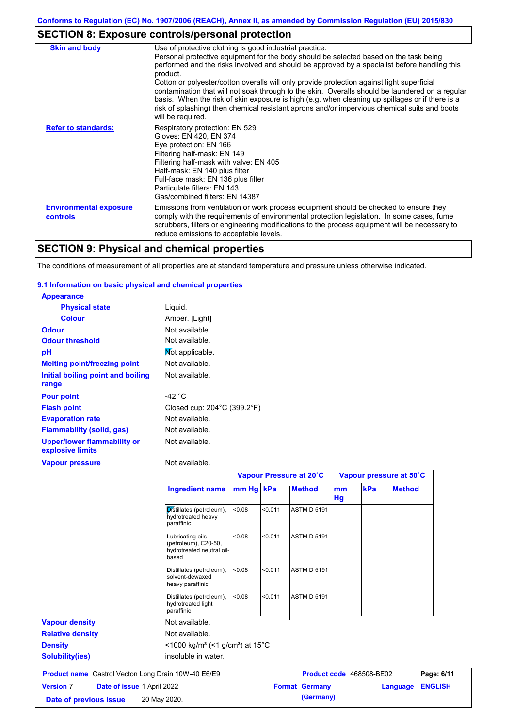# **SECTION 8: Exposure controls/personal protection**

| <b>Skin and body</b>                             | Use of protective clothing is good industrial practice.<br>Personal protective equipment for the body should be selected based on the task being<br>performed and the risks involved and should be approved by a specialist before handling this                                                                                                                                                                                  |
|--------------------------------------------------|-----------------------------------------------------------------------------------------------------------------------------------------------------------------------------------------------------------------------------------------------------------------------------------------------------------------------------------------------------------------------------------------------------------------------------------|
|                                                  | product.<br>Cotton or polyester/cotton overalls will only provide protection against light superficial<br>contamination that will not soak through to the skin. Overalls should be laundered on a regular<br>basis. When the risk of skin exposure is high (e.g. when cleaning up spillages or if there is a<br>risk of splashing) then chemical resistant aprons and/or impervious chemical suits and boots<br>will be required. |
| <b>Refer to standards:</b>                       | Respiratory protection: EN 529<br>Gloves: EN 420, EN 374<br>Eye protection: EN 166<br>Filtering half-mask: EN 149<br>Filtering half-mask with valve: EN 405<br>Half-mask: EN 140 plus filter<br>Full-face mask: EN 136 plus filter<br>Particulate filters: EN 143<br>Gas/combined filters: EN 14387                                                                                                                               |
| <b>Environmental exposure</b><br><b>controls</b> | Emissions from ventilation or work process equipment should be checked to ensure they<br>comply with the requirements of environmental protection legislation. In some cases, fume<br>scrubbers, filters or engineering modifications to the process equipment will be necessary to<br>reduce emissions to acceptable levels.                                                                                                     |

# **SECTION 9: Physical and chemical properties**

The conditions of measurement of all properties are at standard temperature and pressure unless otherwise indicated.

#### **9.1 Information on basic physical and chemical properties**

| <b>Appearance</b>                               |                                                  |
|-------------------------------------------------|--------------------------------------------------|
| <b>Physical state</b>                           | Liquid.                                          |
| <b>Colour</b>                                   | Amber. [Light]                                   |
| <b>Odour</b>                                    | Not available.                                   |
| <b>Odour threshold</b>                          | Not available.                                   |
| рH                                              | Not applicable.                                  |
| <b>Melting point/freezing point</b>             | Not available.                                   |
| Initial boiling point and boiling               | Not available.                                   |
| range                                           |                                                  |
| <b>Pour point</b>                               | -42 °C                                           |
| <b>Flash point</b>                              | Closed cup: $204^{\circ}$ C (399.2 $^{\circ}$ F) |
| <b>Evaporation rate</b>                         | Not available.                                   |
| <b>Flammability (solid, gas)</b>                | Not available.                                   |
| Upper/lower flammability or<br>explosive limits | Not available.                                   |
| <b>Vapour pressure</b>                          | Not available.                                   |

|                                                            |                                                                                |        |         | Vapour Pressure at 20°C  |          |     | Vapour pressure at 50°C |                |
|------------------------------------------------------------|--------------------------------------------------------------------------------|--------|---------|--------------------------|----------|-----|-------------------------|----------------|
|                                                            | Ingredient name mm Hg kPa                                                      |        |         | <b>Method</b>            | mm<br>Hg | kPa | <b>Method</b>           |                |
|                                                            | Distillates (petroleum),<br>hydrotreated heavy<br>paraffinic                   | < 0.08 | < 0.011 | <b>ASTM D 5191</b>       |          |     |                         |                |
|                                                            | Lubricating oils<br>(petroleum), C20-50,<br>hydrotreated neutral oil-<br>based | < 0.08 | < 0.011 | <b>ASTM D 5191</b>       |          |     |                         |                |
|                                                            | Distillates (petroleum),<br>solvent-dewaxed<br>heavy paraffinic                | < 0.08 | < 0.011 | <b>ASTM D 5191</b>       |          |     |                         |                |
|                                                            | Distillates (petroleum),<br>hydrotreated light<br>paraffinic                   | < 0.08 | < 0.011 | <b>ASTM D 5191</b>       |          |     |                         |                |
| <b>Vapour density</b>                                      | Not available.                                                                 |        |         |                          |          |     |                         |                |
| <b>Relative density</b>                                    | Not available.                                                                 |        |         |                          |          |     |                         |                |
| <b>Density</b>                                             | $\leq$ 1000 kg/m <sup>3</sup> (<1 g/cm <sup>3</sup> ) at 15 <sup>°</sup> C     |        |         |                          |          |     |                         |                |
| <b>Solubility(ies)</b>                                     | insoluble in water.                                                            |        |         |                          |          |     |                         |                |
| <b>Product name</b> Castrol Vecton Long Drain 10W-40 E6/E9 |                                                                                |        |         | Product code 468508-BE02 |          |     |                         | Page: 6/11     |
| <b>Version 7</b><br>Date of issue 1 April 2022             |                                                                                |        |         | <b>Format Germany</b>    |          |     | Language                | <b>ENGLISH</b> |

**Date of previous issue 20 May 2020. (Germany) (Germany)**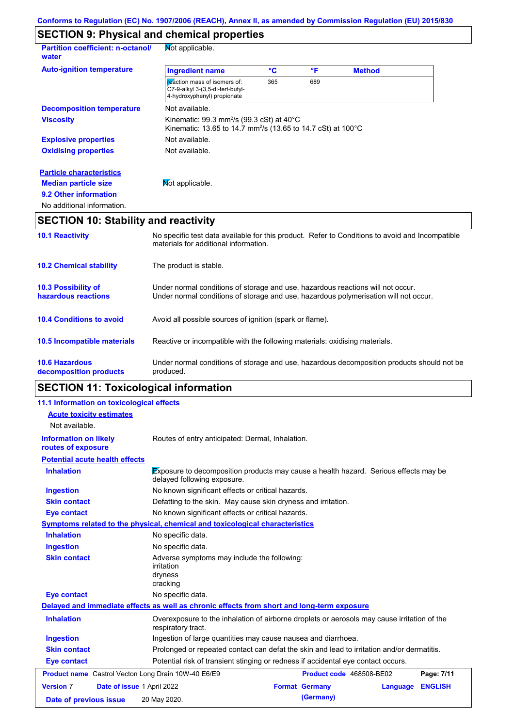# **SECTION 9: Physical and chemical properties**

| <b>Partition coefficient: n-octanol/</b><br>water | Not applicable.                                                                                                                              |     |     |               |  |
|---------------------------------------------------|----------------------------------------------------------------------------------------------------------------------------------------------|-----|-----|---------------|--|
| <b>Auto-ignition temperature</b>                  | <b>Ingredient name</b>                                                                                                                       | °C  | °F  | <b>Method</b> |  |
|                                                   | reaction mass of isomers of:<br>C7-9-alkyl 3-(3,5-di-tert-butyl-<br>4-hydroxyphenyl) propionate                                              | 365 | 689 |               |  |
| <b>Decomposition temperature</b>                  | Not available.                                                                                                                               |     |     |               |  |
| <b>Viscosity</b>                                  | Kinematic: 99.3 mm <sup>2</sup> /s (99.3 cSt) at $40^{\circ}$ C<br>Kinematic: 13.65 to 14.7 mm <sup>2</sup> /s (13.65 to 14.7 cSt) at 100 °C |     |     |               |  |
| <b>Explosive properties</b>                       | Not available.                                                                                                                               |     |     |               |  |
| <b>Oxidising properties</b>                       | Not available.                                                                                                                               |     |     |               |  |
| <b>Particle characteristics</b>                   |                                                                                                                                              |     |     |               |  |
| <b>Median particle size</b>                       | Mot applicable.                                                                                                                              |     |     |               |  |
| 9.2 Other information                             |                                                                                                                                              |     |     |               |  |
| No additional information.                        |                                                                                                                                              |     |     |               |  |

# **SECTION 10: Stability and reactivity**

| produced.<br>decomposition products<br><b>SECTION 11: Toxicological information</b> |                                                                                                                                                                         |  |  |  |
|-------------------------------------------------------------------------------------|-------------------------------------------------------------------------------------------------------------------------------------------------------------------------|--|--|--|
| <b>10.6 Hazardous</b>                                                               | Under normal conditions of storage and use, hazardous decomposition products should not be                                                                              |  |  |  |
| <b>10.5 Incompatible materials</b>                                                  | Reactive or incompatible with the following materials: oxidising materials.                                                                                             |  |  |  |
| <b>10.4 Conditions to avoid</b>                                                     | Avoid all possible sources of ignition (spark or flame).                                                                                                                |  |  |  |
| <b>10.3 Possibility of</b><br>hazardous reactions                                   | Under normal conditions of storage and use, hazardous reactions will not occur.<br>Under normal conditions of storage and use, hazardous polymerisation will not occur. |  |  |  |
| <b>10.2 Chemical stability</b>                                                      | The product is stable.                                                                                                                                                  |  |  |  |
| <b>10.1 Reactivity</b>                                                              | No specific test data available for this product. Refer to Conditions to avoid and Incompatible<br>materials for additional information.                                |  |  |  |

# **SECTION 11: Toxicological information**

| 11.1 Information on toxicological effects           |                                                                                                                     |
|-----------------------------------------------------|---------------------------------------------------------------------------------------------------------------------|
| <b>Acute toxicity estimates</b>                     |                                                                                                                     |
| Not available.                                      |                                                                                                                     |
| <b>Information on likely</b><br>routes of exposure  | Routes of entry anticipated: Dermal, Inhalation.                                                                    |
| <b>Potential acute health effects</b>               |                                                                                                                     |
| <b>Inhalation</b>                                   | Exposure to decomposition products may cause a health hazard. Serious effects may be<br>delayed following exposure. |
| <b>Ingestion</b>                                    | No known significant effects or critical hazards.                                                                   |
| <b>Skin contact</b>                                 | Defatting to the skin. May cause skin dryness and irritation.                                                       |
| <b>Eye contact</b>                                  | No known significant effects or critical hazards.                                                                   |
|                                                     | Symptoms related to the physical, chemical and toxicological characteristics                                        |
| <b>Inhalation</b>                                   | No specific data.                                                                                                   |
| <b>Ingestion</b>                                    | No specific data.                                                                                                   |
| <b>Skin contact</b>                                 | Adverse symptoms may include the following:<br><i>irritation</i><br>dryness<br>cracking                             |
| <b>Eye contact</b>                                  | No specific data.                                                                                                   |
|                                                     | Delayed and immediate effects as well as chronic effects from short and long-term exposure                          |
| <b>Inhalation</b>                                   | Overexposure to the inhalation of airborne droplets or aerosols may cause irritation of the<br>respiratory tract.   |
| <b>Ingestion</b>                                    | Ingestion of large quantities may cause nausea and diarrhoea.                                                       |
| <b>Skin contact</b>                                 | Prolonged or repeated contact can defat the skin and lead to irritation and/or dermatitis.                          |
| <b>Eye contact</b>                                  | Potential risk of transient stinging or redness if accidental eye contact occurs.                                   |
| Product name Castrol Vecton Long Drain 10W-40 E6/E9 | Product code 468508-BE02<br>Page: 7/11                                                                              |
| <b>Version 7</b><br>Date of issue 1 April 2022      | <b>Format Germany</b><br><b>ENGLISH</b><br>Language                                                                 |
| Date of previous issue                              | (Germany)<br>20 May 2020.                                                                                           |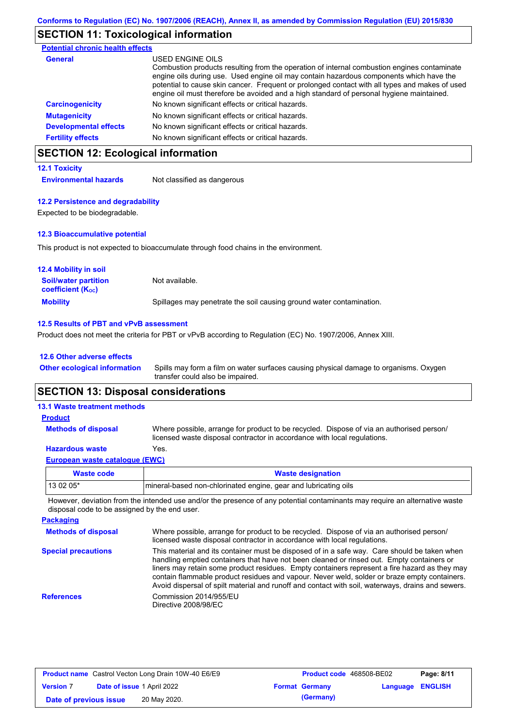# **SECTION 11: Toxicological information**

| <b>Potential chronic health effects</b> |                                                                                                                                                                                                                                                                                                                                                                                                          |
|-----------------------------------------|----------------------------------------------------------------------------------------------------------------------------------------------------------------------------------------------------------------------------------------------------------------------------------------------------------------------------------------------------------------------------------------------------------|
| <b>General</b>                          | USED ENGINE OILS<br>Combustion products resulting from the operation of internal combustion engines contaminate<br>engine oils during use. Used engine oil may contain hazardous components which have the<br>potential to cause skin cancer. Frequent or prolonged contact with all types and makes of used<br>engine oil must therefore be avoided and a high standard of personal hygiene maintained. |
| <b>Carcinogenicity</b>                  | No known significant effects or critical hazards.                                                                                                                                                                                                                                                                                                                                                        |
| <b>Mutagenicity</b>                     | No known significant effects or critical hazards.                                                                                                                                                                                                                                                                                                                                                        |
| <b>Developmental effects</b>            | No known significant effects or critical hazards.                                                                                                                                                                                                                                                                                                                                                        |
| <b>Fertility effects</b>                | No known significant effects or critical hazards.                                                                                                                                                                                                                                                                                                                                                        |

# **SECTION 12: Ecological information**

#### **12.1 Toxicity**

**Environmental hazards** Not classified as dangerous

#### **12.2 Persistence and degradability**

Expected to be biodegradable.

#### **12.3 Bioaccumulative potential**

This product is not expected to bioaccumulate through food chains in the environment.

| <b>12.4 Mobility in soil</b>                                  |                                                                      |
|---------------------------------------------------------------|----------------------------------------------------------------------|
| <b>Soil/water partition</b><br>coefficient (K <sub>oc</sub> ) | Not available.                                                       |
| <b>Mobility</b>                                               | Spillages may penetrate the soil causing ground water contamination. |

#### **12.5 Results of PBT and vPvB assessment**

Product does not meet the criteria for PBT or vPvB according to Regulation (EC) No. 1907/2006, Annex XIII.

#### **12.6 Other adverse effects**

**Other ecological information**

Spills may form a film on water surfaces causing physical damage to organisms. Oxygen transfer could also be impaired.

### **SECTION 13: Disposal considerations**

| <b>13.1 Waste treatment methods</b> |                                                                                                                                                                      |
|-------------------------------------|----------------------------------------------------------------------------------------------------------------------------------------------------------------------|
| <b>Product</b>                      |                                                                                                                                                                      |
| <b>Methods of disposal</b>          | Where possible, arrange for product to be recycled. Dispose of via an authorised person/<br>licensed waste disposal contractor in accordance with local regulations. |
| <b>Hazardous waste</b>              | Yes.                                                                                                                                                                 |
| European waste catalogue (EWC)      |                                                                                                                                                                      |

| Waste code | <b>Waste designation</b>                                         |
|------------|------------------------------------------------------------------|
| $130205*$  | Imineral-based non-chlorinated engine, gear and lubricating oils |

However, deviation from the intended use and/or the presence of any potential contaminants may require an alternative waste disposal code to be assigned by the end user.

| <b>Packaging</b>           |                                                                                                                                                                                                                                                                                                                                                                                                                                                                                                 |
|----------------------------|-------------------------------------------------------------------------------------------------------------------------------------------------------------------------------------------------------------------------------------------------------------------------------------------------------------------------------------------------------------------------------------------------------------------------------------------------------------------------------------------------|
| <b>Methods of disposal</b> | Where possible, arrange for product to be recycled. Dispose of via an authorised person/<br>licensed waste disposal contractor in accordance with local regulations.                                                                                                                                                                                                                                                                                                                            |
| <b>Special precautions</b> | This material and its container must be disposed of in a safe way. Care should be taken when<br>handling emptied containers that have not been cleaned or rinsed out. Empty containers or<br>liners may retain some product residues. Empty containers represent a fire hazard as they may<br>contain flammable product residues and vapour. Never weld, solder or braze empty containers.<br>Avoid dispersal of spilt material and runoff and contact with soil, waterways, drains and sewers. |
| <b>References</b>          | Commission 2014/955/EU<br>Directive 2008/98/EC                                                                                                                                                                                                                                                                                                                                                                                                                                                  |

| <b>Product name</b> Castrol Vecton Long Drain 10W-40 E6/E9 |  | <b>Product code</b> 468508-BE02   |  | Page: 8/11            |                         |  |
|------------------------------------------------------------|--|-----------------------------------|--|-----------------------|-------------------------|--|
| <b>Version 7</b>                                           |  | <b>Date of issue 1 April 2022</b> |  | <b>Format Germany</b> | <b>Language ENGLISH</b> |  |
| Date of previous issue                                     |  | 20 May 2020.                      |  | (Germany)             |                         |  |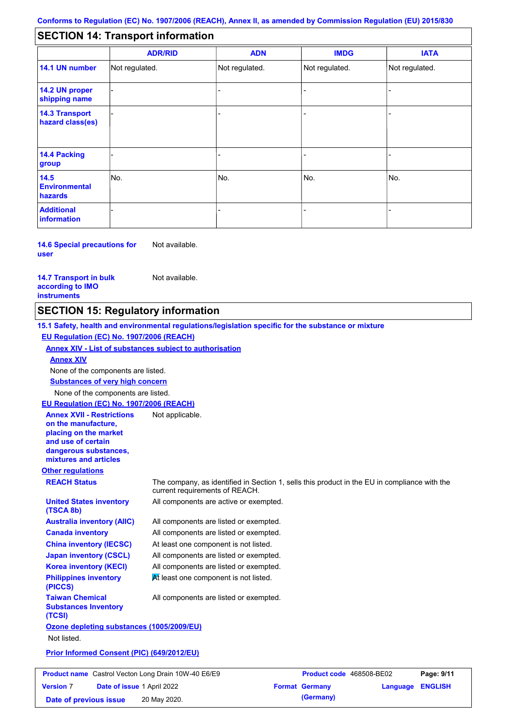#### - - - - - - - - - Not regulated. Not regulated. Not regulated. - - - **SECTION 14: Transport information ADR/RID IMDG IATA 14.1 UN number 14.2 UN proper shipping name 14.3 Transport hazard class(es) 14.4 Packing group ADN Additional information 14.5 Environmental hazards** No. 1980 | No. 1980 | No. 1980 | No. 1980 | No. 1980 | No. 1980 | No. 1980 | No. 1980 | No. 1980 | No. 1980 | Not regulated. - -<br>No. - -

**14.6 Special precautions for user** Not available.

#### **14.7 Transport in bulk according to IMO instruments**

Not available.

### **SECTION 15: Regulatory information**

**Other regulations REACH Status** The company, as identified in Section 1, sells this product in the EU in compliance with the current requirements of REACH. **15.1 Safety, health and environmental regulations/legislation specific for the substance or mixture EU Regulation (EC) No. 1907/2006 (REACH) Annex XIV - List of substances subject to authorisation Substances of very high concern** None of the components are listed. All components are listed or exempted. All components are listed or exempted. At least one component is not listed. All components are listed or exempted. All components are active or exempted. All components are listed or exempted.  $M$  least one component is not listed. **United States inventory (TSCA 8b) Australia inventory (AIIC) Canada inventory China inventory (IECSC) Japan inventory (CSCL) Korea inventory (KECI) Philippines inventory (PICCS) Taiwan Chemical Substances Inventory (TCSI)** All components are listed or exempted. **Ozone depleting substances (1005/2009/EU)** Not listed. **Prior Informed Consent (PIC) (649/2012/EU)** None of the components are listed. **Annex XIV EU Regulation (EC) No. 1907/2006 (REACH) Annex XVII - Restrictions on the manufacture, placing on the market and use of certain dangerous substances, mixtures and articles** Not applicable.

| <b>Product name</b> Castrol Vecton Long Drain 10W-40 E6/E9 |                                   | <b>Product code</b> 468508-BE02 |  | Page: 9/11            |                         |  |
|------------------------------------------------------------|-----------------------------------|---------------------------------|--|-----------------------|-------------------------|--|
| <b>Version 7</b>                                           | <b>Date of issue 1 April 2022</b> |                                 |  | <b>Format Germany</b> | <b>Language ENGLISH</b> |  |
| Date of previous issue                                     |                                   | 20 May 2020.                    |  | (Germany)             |                         |  |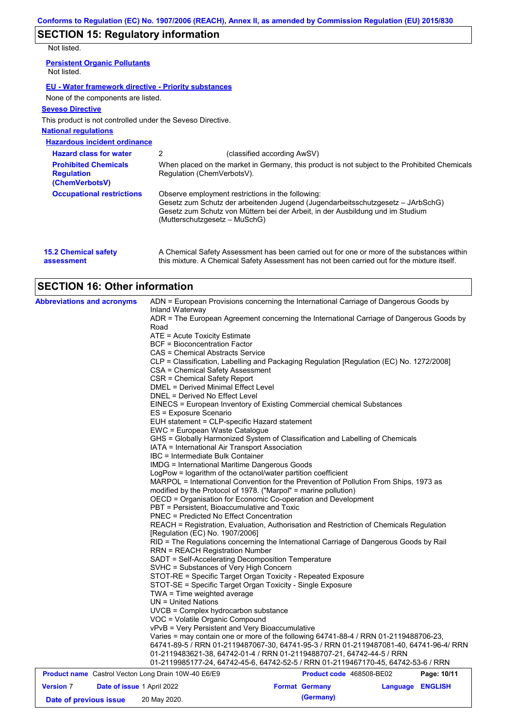# **SECTION 15: Regulatory information**

Not listed.

**assessment**

| <u>IVUL IISLEU.</u>                                                |                               |                                                                                                                                                                                                                        |
|--------------------------------------------------------------------|-------------------------------|------------------------------------------------------------------------------------------------------------------------------------------------------------------------------------------------------------------------|
| <b>Persistent Organic Pollutants</b><br>Not listed.                |                               |                                                                                                                                                                                                                        |
| <b>EU - Water framework directive - Priority substances</b>        |                               |                                                                                                                                                                                                                        |
| None of the components are listed.                                 |                               |                                                                                                                                                                                                                        |
| <b>Seveso Directive</b>                                            |                               |                                                                                                                                                                                                                        |
| This product is not controlled under the Seveso Directive.         |                               |                                                                                                                                                                                                                        |
| <b>National regulations</b>                                        |                               |                                                                                                                                                                                                                        |
| <b>Hazardous incident ordinance</b>                                |                               |                                                                                                                                                                                                                        |
| <b>Hazard class for water</b>                                      | 2                             | (classified according AwSV)                                                                                                                                                                                            |
| <b>Prohibited Chemicals</b><br><b>Regulation</b><br>(ChemVerbotsV) | Regulation (ChemVerbotsV).    | When placed on the market in Germany, this product is not subject to the Prohibited Chemicals                                                                                                                          |
| <b>Occupational restrictions</b>                                   | (Mutterschutzgesetz – MuSchG) | Observe employment restrictions in the following:<br>Gesetz zum Schutz der arbeitenden Jugend (Jugendarbeitsschutzgesetz – JArbSchG)<br>Gesetz zum Schutz von Müttern bei der Arbeit, in der Ausbildung und im Studium |
| <b>15.2 Chemical safety</b>                                        |                               | A Chemical Safety Assessment has been carried out for one or more of the substances within                                                                                                                             |

this mixture. A Chemical Safety Assessment has not been carried out for the mixture itself.

# **SECTION 16: Other information**

| <b>Abbreviations and acronyms</b>                          | ADN = European Provisions concerning the International Carriage of Dangerous Goods by<br>Inland Waterway                                |                          |  |                  |  |  |  |  |
|------------------------------------------------------------|-----------------------------------------------------------------------------------------------------------------------------------------|--------------------------|--|------------------|--|--|--|--|
|                                                            | ADR = The European Agreement concerning the International Carriage of Dangerous Goods by                                                |                          |  |                  |  |  |  |  |
|                                                            | Road                                                                                                                                    |                          |  |                  |  |  |  |  |
|                                                            | ATE = Acute Toxicity Estimate                                                                                                           |                          |  |                  |  |  |  |  |
|                                                            | <b>BCF = Bioconcentration Factor</b>                                                                                                    |                          |  |                  |  |  |  |  |
|                                                            | CAS = Chemical Abstracts Service                                                                                                        |                          |  |                  |  |  |  |  |
|                                                            | CLP = Classification, Labelling and Packaging Regulation [Regulation (EC) No. 1272/2008]                                                |                          |  |                  |  |  |  |  |
|                                                            | CSA = Chemical Safety Assessment                                                                                                        |                          |  |                  |  |  |  |  |
|                                                            | CSR = Chemical Safety Report                                                                                                            |                          |  |                  |  |  |  |  |
|                                                            | DMEL = Derived Minimal Effect Level                                                                                                     |                          |  |                  |  |  |  |  |
|                                                            | DNEL = Derived No Effect Level                                                                                                          |                          |  |                  |  |  |  |  |
|                                                            | EINECS = European Inventory of Existing Commercial chemical Substances<br>ES = Exposure Scenario                                        |                          |  |                  |  |  |  |  |
|                                                            | EUH statement = CLP-specific Hazard statement                                                                                           |                          |  |                  |  |  |  |  |
|                                                            | EWC = European Waste Catalogue                                                                                                          |                          |  |                  |  |  |  |  |
|                                                            | GHS = Globally Harmonized System of Classification and Labelling of Chemicals                                                           |                          |  |                  |  |  |  |  |
|                                                            | IATA = International Air Transport Association                                                                                          |                          |  |                  |  |  |  |  |
|                                                            | IBC = Intermediate Bulk Container                                                                                                       |                          |  |                  |  |  |  |  |
|                                                            | <b>IMDG</b> = International Maritime Dangerous Goods                                                                                    |                          |  |                  |  |  |  |  |
|                                                            | LogPow = logarithm of the octanol/water partition coefficient                                                                           |                          |  |                  |  |  |  |  |
|                                                            | MARPOL = International Convention for the Prevention of Pollution From Ships, 1973 as                                                   |                          |  |                  |  |  |  |  |
|                                                            | modified by the Protocol of 1978. ("Marpol" = marine pollution)                                                                         |                          |  |                  |  |  |  |  |
|                                                            | OECD = Organisation for Economic Co-operation and Development                                                                           |                          |  |                  |  |  |  |  |
|                                                            | PBT = Persistent, Bioaccumulative and Toxic<br><b>PNEC = Predicted No Effect Concentration</b>                                          |                          |  |                  |  |  |  |  |
|                                                            | REACH = Registration, Evaluation, Authorisation and Restriction of Chemicals Regulation                                                 |                          |  |                  |  |  |  |  |
|                                                            | [Regulation (EC) No. 1907/2006]                                                                                                         |                          |  |                  |  |  |  |  |
|                                                            | RID = The Regulations concerning the International Carriage of Dangerous Goods by Rail                                                  |                          |  |                  |  |  |  |  |
|                                                            | RRN = REACH Registration Number                                                                                                         |                          |  |                  |  |  |  |  |
|                                                            | SADT = Self-Accelerating Decomposition Temperature                                                                                      |                          |  |                  |  |  |  |  |
|                                                            | SVHC = Substances of Very High Concern                                                                                                  |                          |  |                  |  |  |  |  |
|                                                            | STOT-RE = Specific Target Organ Toxicity - Repeated Exposure                                                                            |                          |  |                  |  |  |  |  |
|                                                            | STOT-SE = Specific Target Organ Toxicity - Single Exposure                                                                              |                          |  |                  |  |  |  |  |
|                                                            | TWA = Time weighted average                                                                                                             |                          |  |                  |  |  |  |  |
|                                                            | $UN = United Nations$                                                                                                                   |                          |  |                  |  |  |  |  |
|                                                            | UVCB = Complex hydrocarbon substance                                                                                                    |                          |  |                  |  |  |  |  |
|                                                            | VOC = Volatile Organic Compound                                                                                                         |                          |  |                  |  |  |  |  |
|                                                            | vPvB = Very Persistent and Very Bioaccumulative<br>Varies = may contain one or more of the following 64741-88-4 / RRN 01-2119488706-23, |                          |  |                  |  |  |  |  |
|                                                            | 64741-89-5 / RRN 01-2119487067-30, 64741-95-3 / RRN 01-2119487081-40, 64741-96-4/ RRN                                                   |                          |  |                  |  |  |  |  |
|                                                            | 01-2119483621-38, 64742-01-4 / RRN 01-2119488707-21, 64742-44-5 / RRN                                                                   |                          |  |                  |  |  |  |  |
|                                                            | 01-2119985177-24, 64742-45-6, 64742-52-5 / RRN 01-2119467170-45, 64742-53-6 / RRN                                                       |                          |  |                  |  |  |  |  |
| <b>Product name</b> Castrol Vecton Long Drain 10W-40 E6/E9 |                                                                                                                                         | Product code 468508-BE02 |  | Page: 10/11      |  |  |  |  |
| <b>Version 7</b><br>Date of issue 1 April 2022             |                                                                                                                                         | <b>Format Germany</b>    |  | Language ENGLISH |  |  |  |  |
| Date of previous issue                                     | 20 May 2020.                                                                                                                            | (Germany)                |  |                  |  |  |  |  |
|                                                            |                                                                                                                                         |                          |  |                  |  |  |  |  |